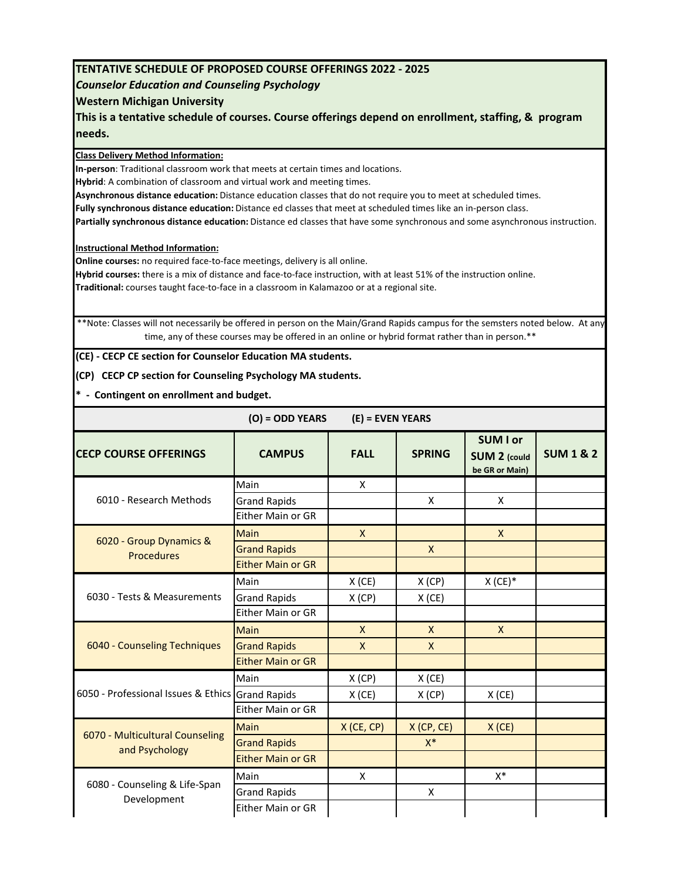## **TENTATIVE SCHEDULE OF PROPOSED COURSE OFFERINGS 2022 ‐ 2025**

## *Counselor Education and Counseling Psychology*

## **Western Michigan University**

**This is a tentative schedule of courses. Course offerings depend on enrollment, staffing, & program needs.**

**Class Delivery Method Information:**

**In‐person**: Traditional classroom work that meets at certain times and locations.

**Hybrid**: A combination of classroom and virtual work and meeting times.

**Asynchronous distance education:** Distance education classes that do not require you to meet at scheduled times.

**Fully synchronous distance education:** Distance ed classes that meet at scheduled times like an in‐person class.

**Partially synchronous distance education:** Distance ed classes that have some synchronous and some asynchronous instruction.

**Instructional Method Information:**

**Online courses:** no required face-to-face meetings, delivery is all online.

**Hybrid courses:** there is a mix of distance and face‐to‐face instruction, with at least 51% of the instruction online. **Traditional:** courses taught face‐to‐face in a classroom in Kalamazoo or at a regional site.

\*\*Note: Classes will not necessarily be offered in person on the Main/Grand Rapids campus for the semsters noted below. At any time, any of these courses may be offered in an online or hybrid format rather than in person.\*\*

**(CE) ‐ CECP CE section for Counselor Education MA students.**

**(CP) CECP CP section for Counseling Psychology MA students.**

**\* ‐ Contingent on enrollment and budget.**

| $(O) = ODD$ YEARS | $(E)$ = EVEN YEARS |
|-------------------|--------------------|
|-------------------|--------------------|

| <b>CECP COURSE OFFERINGS</b>                      | <b>CAMPUS</b>            | <b>FALL</b>  | <b>SPRING</b> | <b>SUM I or</b><br><b>SUM 2 (could</b><br>be GR or Main) | <b>SUM1&amp;2</b> |
|---------------------------------------------------|--------------------------|--------------|---------------|----------------------------------------------------------|-------------------|
|                                                   | Main                     | X            |               |                                                          |                   |
| 6010 - Research Methods                           | <b>Grand Rapids</b>      |              | X             | X                                                        |                   |
|                                                   | Either Main or GR        |              |               |                                                          |                   |
|                                                   | Main                     | $\mathsf{X}$ |               | $\mathsf{X}$                                             |                   |
| 6020 - Group Dynamics &<br><b>Procedures</b>      | <b>Grand Rapids</b>      |              | $\mathsf{X}$  |                                                          |                   |
|                                                   | <b>Either Main or GR</b> |              |               |                                                          |                   |
|                                                   | Main                     | X(CE)        | X(CP)         | $X$ (CE) $*$                                             |                   |
| 6030 - Tests & Measurements                       | <b>Grand Rapids</b>      | X(CP)        | $X$ (CE)      |                                                          |                   |
|                                                   | Either Main or GR        |              |               |                                                          |                   |
|                                                   | <b>Main</b>              | $\mathsf{x}$ | $\mathsf{x}$  | $\mathsf{X}$                                             |                   |
| 6040 - Counseling Techniques                      | <b>Grand Rapids</b>      | $\mathsf{x}$ | $\mathsf{x}$  |                                                          |                   |
|                                                   | <b>Either Main or GR</b> |              |               |                                                          |                   |
|                                                   | Main                     | X(CP)        | $X$ (CE)      |                                                          |                   |
| 6050 - Professional Issues & Ethics Grand Rapids  |                          | $X$ (CE)     | X(CP)         | $X$ (CE)                                                 |                   |
|                                                   | Either Main or GR        |              |               |                                                          |                   |
|                                                   | Main                     | $X$ (CE, CP) | X(CP, CE)     | X(CE)                                                    |                   |
| 6070 - Multicultural Counseling<br>and Psychology | <b>Grand Rapids</b>      |              | $X^*$         |                                                          |                   |
|                                                   | <b>Either Main or GR</b> |              |               |                                                          |                   |
| 6080 - Counseling & Life-Span<br>Development      | Main                     | X            |               | X*                                                       |                   |
|                                                   | <b>Grand Rapids</b>      |              | X             |                                                          |                   |
|                                                   | Either Main or GR        |              |               |                                                          |                   |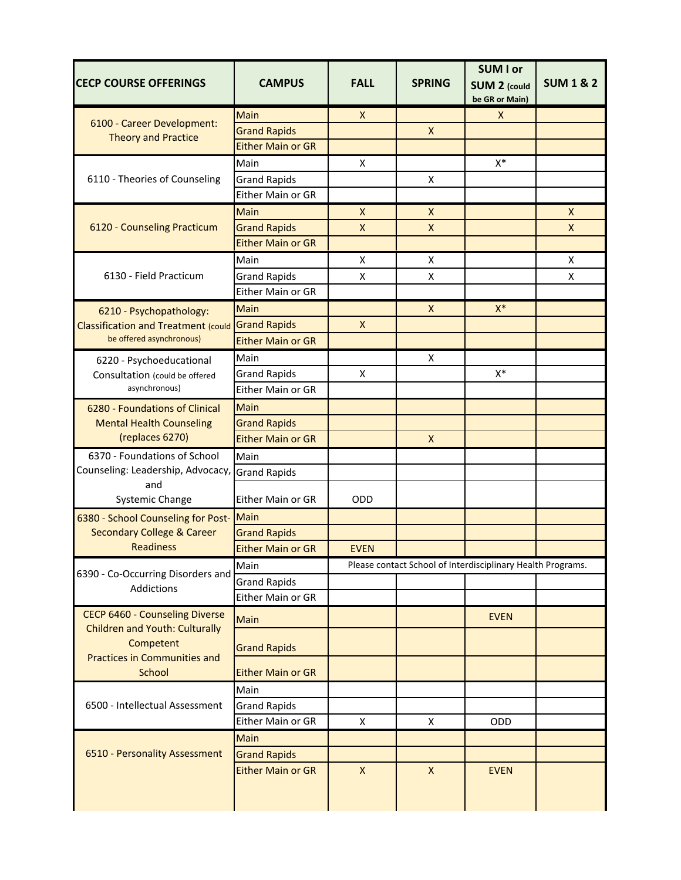| <b>CECP COURSE OFFERINGS</b>                                            | <b>CAMPUS</b>                                   | <b>FALL</b>        | <b>SPRING</b>  | <b>SUM I or</b><br><b>SUM 2 (could</b>                      | <b>SUM 1 &amp; 2</b> |
|-------------------------------------------------------------------------|-------------------------------------------------|--------------------|----------------|-------------------------------------------------------------|----------------------|
|                                                                         |                                                 |                    |                | be GR or Main)                                              |                      |
| 6100 - Career Development:<br><b>Theory and Practice</b>                | Main                                            | $\pmb{\mathsf{X}}$ |                | X                                                           |                      |
|                                                                         | <b>Grand Rapids</b><br><b>Either Main or GR</b> |                    | X              |                                                             |                      |
|                                                                         |                                                 |                    |                |                                                             |                      |
| 6110 - Theories of Counseling                                           | Main<br><b>Grand Rapids</b>                     | X                  | X              | $X^*$                                                       |                      |
|                                                                         | Either Main or GR                               |                    |                |                                                             |                      |
|                                                                         | <b>Main</b>                                     | $\pmb{\mathsf{X}}$ | Χ              |                                                             | $\mathsf{X}$         |
| 6120 - Counseling Practicum                                             | <b>Grand Rapids</b>                             | $\mathsf{x}$       | X              |                                                             | $\mathsf{X}$         |
|                                                                         | <b>Either Main or GR</b>                        |                    |                |                                                             |                      |
|                                                                         | Main                                            | X                  | X              |                                                             | X                    |
| 6130 - Field Practicum                                                  | <b>Grand Rapids</b>                             | X                  | X              |                                                             | X                    |
|                                                                         | Either Main or GR                               |                    |                |                                                             |                      |
| 6210 - Psychopathology:                                                 | Main                                            |                    | X              | $X^*$                                                       |                      |
| <b>Classification and Treatment (could</b>                              | <b>Grand Rapids</b>                             | $\mathsf{x}$       |                |                                                             |                      |
| be offered asynchronous)                                                | <b>Either Main or GR</b>                        |                    |                |                                                             |                      |
| 6220 - Psychoeducational                                                | Main                                            |                    | X              |                                                             |                      |
| Consultation (could be offered                                          | <b>Grand Rapids</b>                             | X                  |                | $X^*$                                                       |                      |
| asynchronous)                                                           | Either Main or GR                               |                    |                |                                                             |                      |
| 6280 - Foundations of Clinical                                          | Main                                            |                    |                |                                                             |                      |
| <b>Mental Health Counseling</b>                                         | <b>Grand Rapids</b>                             |                    |                |                                                             |                      |
| (replaces 6270)                                                         | <b>Either Main or GR</b>                        |                    | $\mathsf{X}$   |                                                             |                      |
| 6370 - Foundations of School                                            | Main                                            |                    |                |                                                             |                      |
| Counseling: Leadership, Advocacy,                                       | <b>Grand Rapids</b>                             |                    |                |                                                             |                      |
| and<br><b>Systemic Change</b>                                           | Either Main or GR                               | ODD                |                |                                                             |                      |
| 6380 - School Counseling for Post-                                      | <b>Main</b>                                     |                    |                |                                                             |                      |
| <b>Secondary College &amp; Career</b>                                   | <b>Grand Rapids</b>                             |                    |                |                                                             |                      |
| <b>Readiness</b>                                                        | <b>Either Main or GR</b>                        | <b>EVEN</b>        |                |                                                             |                      |
| 6390 - Co-Occurring Disorders and                                       | Main                                            |                    |                | Please contact School of Interdisciplinary Health Programs. |                      |
| Addictions                                                              | <b>Grand Rapids</b>                             |                    |                |                                                             |                      |
|                                                                         | Either Main or GR                               |                    |                |                                                             |                      |
| CECP 6460 - Counseling Diverse<br><b>Children and Youth: Culturally</b> | Main                                            |                    |                | <b>EVEN</b>                                                 |                      |
| Competent<br><b>Practices in Communities and</b>                        | <b>Grand Rapids</b>                             |                    |                |                                                             |                      |
| <b>School</b>                                                           | <b>Either Main or GR</b>                        |                    |                |                                                             |                      |
|                                                                         | Main                                            |                    |                |                                                             |                      |
| 6500 - Intellectual Assessment                                          | <b>Grand Rapids</b>                             |                    |                |                                                             |                      |
|                                                                         | Either Main or GR                               | X                  | X              | ODD                                                         |                      |
| 6510 - Personality Assessment                                           | Main                                            |                    |                |                                                             |                      |
|                                                                         | <b>Grand Rapids</b>                             |                    |                |                                                             |                      |
|                                                                         | <b>Either Main or GR</b>                        | $\pmb{\mathsf{X}}$ | $\pmb{\times}$ | <b>EVEN</b>                                                 |                      |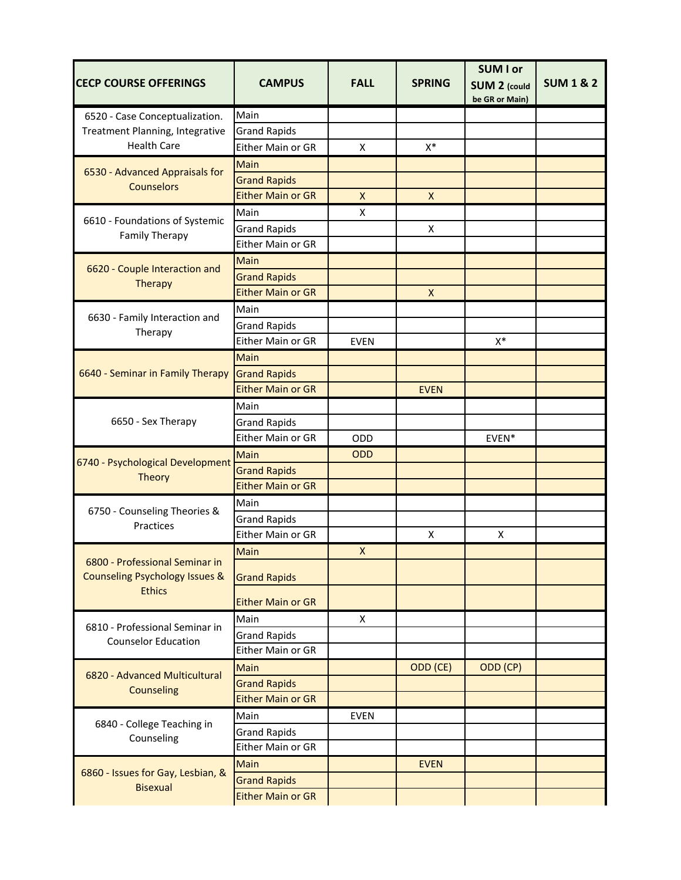|                                                                                         |                          |                           |               | <b>SUM I or</b>                       |                      |
|-----------------------------------------------------------------------------------------|--------------------------|---------------------------|---------------|---------------------------------------|----------------------|
| <b>CECP COURSE OFFERINGS</b>                                                            | <b>CAMPUS</b>            | <b>FALL</b>               | <b>SPRING</b> | <b>SUM 2 (could</b><br>be GR or Main) | <b>SUM 1 &amp; 2</b> |
| 6520 - Case Conceptualization.<br>Treatment Planning, Integrative<br><b>Health Care</b> | Main                     |                           |               |                                       |                      |
|                                                                                         | <b>Grand Rapids</b>      |                           |               |                                       |                      |
|                                                                                         | Either Main or GR        | X                         | $X^*$         |                                       |                      |
| 6530 - Advanced Appraisals for<br><b>Counselors</b>                                     | Main                     |                           |               |                                       |                      |
|                                                                                         | <b>Grand Rapids</b>      |                           |               |                                       |                      |
|                                                                                         | <b>Either Main or GR</b> | $\pmb{\times}$            | X             |                                       |                      |
|                                                                                         | Main                     | X                         |               |                                       |                      |
| 6610 - Foundations of Systemic<br><b>Family Therapy</b>                                 | <b>Grand Rapids</b>      |                           | X             |                                       |                      |
|                                                                                         | Either Main or GR        |                           |               |                                       |                      |
|                                                                                         | Main                     |                           |               |                                       |                      |
| 6620 - Couple Interaction and<br><b>Therapy</b>                                         | <b>Grand Rapids</b>      |                           |               |                                       |                      |
|                                                                                         | <b>Either Main or GR</b> |                           | X             |                                       |                      |
|                                                                                         | Main                     |                           |               |                                       |                      |
| 6630 - Family Interaction and                                                           | <b>Grand Rapids</b>      |                           |               |                                       |                      |
| Therapy                                                                                 | Either Main or GR        | <b>EVEN</b>               |               | $X^*$                                 |                      |
|                                                                                         | Main                     |                           |               |                                       |                      |
| 6640 - Seminar in Family Therapy                                                        | <b>Grand Rapids</b>      |                           |               |                                       |                      |
|                                                                                         | <b>Either Main or GR</b> |                           | <b>EVEN</b>   |                                       |                      |
|                                                                                         | Main                     |                           |               |                                       |                      |
| 6650 - Sex Therapy                                                                      | <b>Grand Rapids</b>      |                           |               |                                       |                      |
|                                                                                         | Either Main or GR        | ODD                       |               | EVEN*                                 |                      |
|                                                                                         | Main                     | <b>ODD</b>                |               |                                       |                      |
| 6740 - Psychological Development<br>Theory                                              | <b>Grand Rapids</b>      |                           |               |                                       |                      |
|                                                                                         | <b>Either Main or GR</b> |                           |               |                                       |                      |
|                                                                                         | Main                     |                           |               |                                       |                      |
| 6750 - Counseling Theories &<br>Practices                                               | <b>Grand Rapids</b>      |                           |               |                                       |                      |
|                                                                                         | Either Main or GR        |                           | X             | X                                     |                      |
|                                                                                         | Main                     | $\boldsymbol{\mathsf{X}}$ |               |                                       |                      |
| 6800 - Professional Seminar in<br><b>Counseling Psychology Issues &amp;</b>             | <b>Grand Rapids</b>      |                           |               |                                       |                      |
| <b>Ethics</b>                                                                           | <b>Either Main or GR</b> |                           |               |                                       |                      |
| 6810 - Professional Seminar in                                                          | Main                     | X                         |               |                                       |                      |
| <b>Counselor Education</b>                                                              | <b>Grand Rapids</b>      |                           |               |                                       |                      |
|                                                                                         | Either Main or GR        |                           |               |                                       |                      |
| 6820 - Advanced Multicultural                                                           | Main                     |                           | ODD (CE)      | ODD (CP)                              |                      |
| Counseling                                                                              | <b>Grand Rapids</b>      |                           |               |                                       |                      |
|                                                                                         | <b>Either Main or GR</b> |                           |               |                                       |                      |
| 6840 - College Teaching in<br>Counseling                                                | Main                     | <b>EVEN</b>               |               |                                       |                      |
|                                                                                         | <b>Grand Rapids</b>      |                           |               |                                       |                      |
|                                                                                         | Either Main or GR        |                           |               |                                       |                      |
|                                                                                         | Main                     |                           | <b>EVEN</b>   |                                       |                      |
| 6860 - Issues for Gay, Lesbian, &<br><b>Bisexual</b>                                    | <b>Grand Rapids</b>      |                           |               |                                       |                      |
|                                                                                         | <b>Either Main or GR</b> |                           |               |                                       |                      |